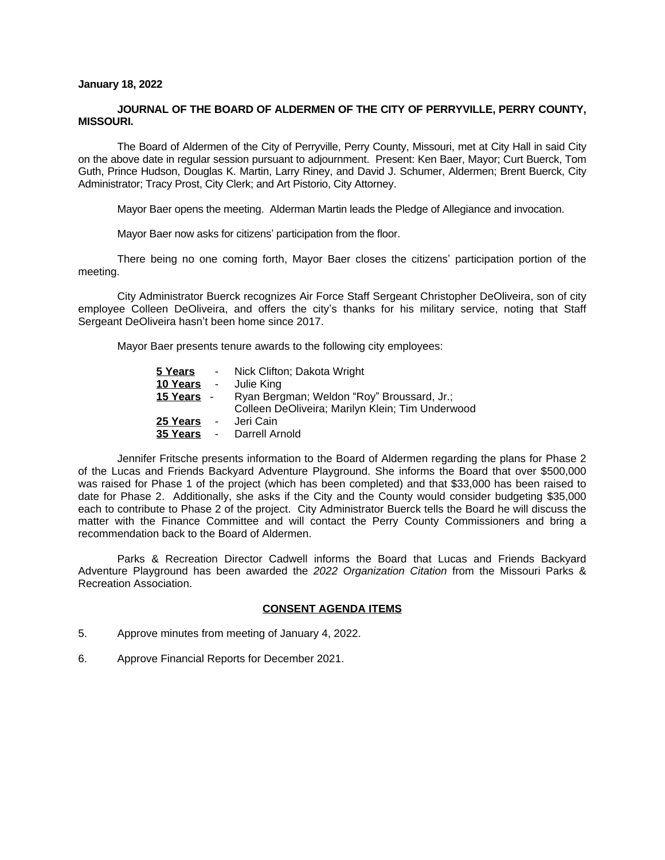## **January 18, 2022**

# **JOURNAL OF THE BOARD OF ALDERMEN OF THE CITY OF PERRYVILLE, PERRY COUNTY, MISSOURI.**

The Board of Aldermen of the City of Perryville, Perry County, Missouri, met at City Hall in said City on the above date in regular session pursuant to adjournment. Present: Ken Baer, Mayor; Curt Buerck, Tom Guth, Prince Hudson, Douglas K. Martin, Larry Riney, and David J. Schumer, Aldermen; Brent Buerck, City Administrator; Tracy Prost, City Clerk; and Art Pistorio, City Attorney.

Mayor Baer opens the meeting. Alderman Martin leads the Pledge of Allegiance and invocation.

Mayor Baer now asks for citizens' participation from the floor.

There being no one coming forth, Mayor Baer closes the citizens' participation portion of the meeting.

City Administrator Buerck recognizes Air Force Staff Sergeant Christopher DeOliveira, son of city employee Colleen DeOliveira, and offers the city's thanks for his military service, noting that Staff Sergeant DeOliveira hasn't been home since 2017.

Mayor Baer presents tenure awards to the following city employees:

| 5 Years              |                 | - Nick Clifton; Dakota Wright                                                                  |
|----------------------|-----------------|------------------------------------------------------------------------------------------------|
| 10 Years             | <b>Contract</b> | Julie King                                                                                     |
| <u>15 Years -</u>    |                 | Ryan Bergman; Weldon "Roy" Broussard, Jr.;<br>Colleen DeOliveira; Marilyn Klein; Tim Underwood |
| 25 Years<br>35 Years | $\blacksquare$  | Jeri Cain<br>- Darrell Arnold                                                                  |

Jennifer Fritsche presents information to the Board of Aldermen regarding the plans for Phase 2 of the Lucas and Friends Backyard Adventure Playground. She informs the Board that over \$500,000 was raised for Phase 1 of the project (which has been completed) and that \$33,000 has been raised to date for Phase 2. Additionally, she asks if the City and the County would consider budgeting \$35,000 each to contribute to Phase 2 of the project. City Administrator Buerck tells the Board he will discuss the matter with the Finance Committee and will contact the Perry County Commissioners and bring a recommendation back to the Board of Aldermen.

Parks & Recreation Director Cadwell informs the Board that Lucas and Friends Backyard Adventure Playground has been awarded the *2022 Organization Citation* from the Missouri Parks & Recreation Association.

# **CONSENT AGENDA ITEMS**

- 5. Approve minutes from meeting of January 4, 2022.
- 6. Approve Financial Reports for December 2021.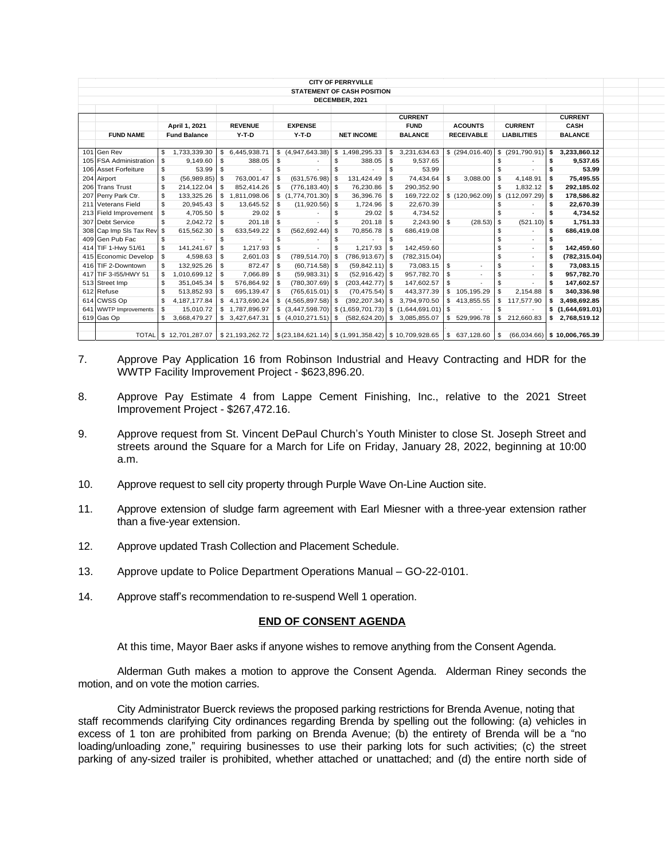|                | <b>CITY OF PERRYVILLE</b>  |                        |                      |                                                                        |                                   |                                                                                        |                              |                     |                                |  |  |  |  |
|----------------|----------------------------|------------------------|----------------------|------------------------------------------------------------------------|-----------------------------------|----------------------------------------------------------------------------------------|------------------------------|---------------------|--------------------------------|--|--|--|--|
|                |                            |                        |                      |                                                                        | <b>STATEMENT OF CASH POSITION</b> |                                                                                        |                              |                     |                                |  |  |  |  |
| DECEMBER, 2021 |                            |                        |                      |                                                                        |                                   |                                                                                        |                              |                     |                                |  |  |  |  |
|                |                            |                        |                      |                                                                        |                                   |                                                                                        |                              |                     |                                |  |  |  |  |
|                |                            |                        |                      |                                                                        |                                   | <b>CURRENT</b>                                                                         |                              |                     | <b>CURRENT</b>                 |  |  |  |  |
|                |                            | April 1, 2021          | <b>REVENUE</b>       | <b>EXPENSE</b>                                                         |                                   | <b>FUND</b>                                                                            | <b>ACOUNTS</b>               | <b>CURRENT</b>      | <b>CASH</b>                    |  |  |  |  |
|                | <b>FUND NAME</b>           | <b>Fund Balance</b>    | $Y-T-D$              | $Y-T-D$                                                                | <b>NET INCOME</b>                 | <b>BALANCE</b>                                                                         | <b>RECEIVABLE</b>            | <b>LIABILITIES</b>  | <b>BALANCE</b>                 |  |  |  |  |
|                |                            |                        |                      |                                                                        |                                   |                                                                                        |                              |                     |                                |  |  |  |  |
|                | 101 Gen Rev                | 1,733,339.30<br>\$     | \$ 6,445,938.71      | \$(4,947,643.38)                                                       | \$1,498,295.33                    | 3,231,634.63                                                                           | \$(294.016.40)               | \$ (291,790.91)     | 3,233,860.12<br>\$             |  |  |  |  |
|                | 105 FSA Administration     | -S<br>9.149.60         | \$<br>388.05         | - \$                                                                   | \$<br>388.05                      | \$<br>9.537.65                                                                         |                              | s.                  | 9,537.65<br>\$                 |  |  |  |  |
|                | 106 Asset Forfeiture       | \$<br>53.99            | S                    | <b>S</b>                                                               | £.                                | \$.<br>53.99                                                                           |                              |                     | 53.99                          |  |  |  |  |
|                | 204 Airport                | \$<br>(56,989.85)      | 763,001.47<br>-S     | $(631, 576.98)$ \$                                                     | 131,424.49                        | 74,434.64<br>-S                                                                        | - \$<br>3,088.00             | \$<br>4,148.91      | 75,495.55<br>\$                |  |  |  |  |
|                | 206 Trans Trust            | \$<br>214,122.04       | 852,414.26<br>S      | $(776, 183.40)$ \$                                                     | 76,230.86                         | 290,352.90<br>-S                                                                       |                              | 1,832.12<br>\$      | \$<br>292,185.02               |  |  |  |  |
|                | 207 Perry Park Ctr.        | \$<br>133,325.26       | 1,811,098.06<br>\$.  | $(1,774,701.30)$ \$<br>s.                                              | 36,396.76                         | 169,722.02<br>-\$                                                                      | \$(120, 962.09)              | (112,097.29)<br>-\$ | 178,586.82<br>\$               |  |  |  |  |
|                | 211 Veterans Field         | \$<br>20,945.43        | \$<br>13,645.52      | -S<br>$(11,920.56)$ \$                                                 | 1,724.96                          | S.<br>22.670.39                                                                        |                              | \$                  | 22,670.39<br>\$                |  |  |  |  |
|                | 213 Field Improvement      | \$<br>4,705.50         | 29.02<br>\$          | - \$                                                                   | 29.02<br>\$                       | 4,734.52<br>\$                                                                         |                              | \$                  | 4,734.52<br>\$                 |  |  |  |  |
|                | 307 Debt Service           | \$.<br>2.042.72        | 201.18<br>S          | -S                                                                     | 201.18<br>\$.                     | 2.243.90<br>-S                                                                         | $\mathbf{s}$<br>$(28.53)$ \$ | $(521.10)$ \$       | 1,751.33                       |  |  |  |  |
|                | 308 Cap Imp SIs Tax Rev \$ | 615,562.30             | 633,549.22<br>S      | (562, 692.44)<br>- \$                                                  | 70,856.78<br>l \$                 | 686,419.08<br>-S                                                                       |                              | \$                  | 686,419.08<br>\$               |  |  |  |  |
|                | 409 Gen Pub Fac            | \$                     | S                    | -S                                                                     | \$                                | -S                                                                                     |                              | \$                  | \$                             |  |  |  |  |
|                | 414 TIF 1-Hwy 51/61        | \$<br>141,241.67       | 1,217.93<br>\$       | - \$                                                                   | 1.217.93<br>\$                    | 142,459.60<br>- \$                                                                     |                              | \$                  | \$<br>142,459.60               |  |  |  |  |
|                | 415 Economic Develop       | 4,598.63<br>\$         | $2,601.03$ \$<br>\$  | $(789, 514.70)$ \$                                                     | $(786, 913.67)$ \$                | (782, 315.04)                                                                          |                              | \$                  | (782, 315.04)<br>\$            |  |  |  |  |
|                | 416 TIF 2-Downtown         | 132.925.26             | 872.47<br>\$         | - \$<br>$(60, 714.58)$ \$                                              | $(59, 842.11)$ \$                 | 73,083.15                                                                              | $\overline{\phantom{a}}$     | \$                  | 73,083.15<br>\$                |  |  |  |  |
|                | 417 TIF 3-155/HWY 51       | 1,010,699.12<br>\$     | 7,066.89 \$<br>S     | $(59,983.31)$ \$                                                       | $(52,916.42)$ \$                  | 957,782.70                                                                             | l s                          | \$                  | 957,782.70<br>\$               |  |  |  |  |
|                | 513 Street Imp             | \$<br>351.045.34       | 576,864.92 \$<br>\$. | $(780, 307.69)$ \$                                                     | $(203, 442.77)$ \$                | 147.602.57                                                                             | - \$                         | \$.                 | 147,602.57<br>\$               |  |  |  |  |
|                | 612 Refuse                 | \$<br>513,852.93       | 695,139.47<br>S      | $(765, 615.01)$ \$<br>-S                                               | $(70, 475.54)$ \$                 | 443,377.39                                                                             | 105,195.29<br>- \$           | \$<br>2,154.88      | 340,336.98<br>\$               |  |  |  |  |
|                | 614 CWSS Op                | \$<br>4,187,177.84     | 4,173,690.24<br>s.   | $$(4,565,897.58)$ \\$                                                  | $(392, 207.34)$ \$                | 3,794,970.50                                                                           | \$<br>413,855.55             | \$<br>117,577.90    | 3,498,692.85<br>\$             |  |  |  |  |
|                | 641 WWTP Improvements      | \$<br>15,010.72        | 1,787,896.97<br>S.   |                                                                        |                                   | $\frac{1}{2}$ (3,447,598.70) $\frac{1}{2}$ (1,659,701.73) $\frac{1}{2}$ (1,644,691.01) | l s                          | \$                  | \$(1,644,691.01)               |  |  |  |  |
|                | 619 Gas Op                 | S.<br>3,668,479.27     | \$3,427,647.31       |                                                                        | $(582, 624.20)$ \$                | 3,085,855.07                                                                           | 529,996.78<br>-S             | S.<br>212,660.83    | \$<br>2,768,519.12             |  |  |  |  |
|                |                            |                        |                      |                                                                        |                                   |                                                                                        |                              |                     |                                |  |  |  |  |
|                |                            | TOTAL \$ 12,701,287.07 |                      | $$21,193,262.72$ $$(23,184,621.14)$ $$(1,991,358.42)$ $$10,709,928.65$ |                                   |                                                                                        | \$637,128.60                 | - \$                | $(66,034.66)$ \$ 10,006,765.39 |  |  |  |  |

- 7. Approve Pay Application 16 from Robinson Industrial and Heavy Contracting and HDR for the WWTP Facility Improvement Project - \$623,896.20.
- 8. Approve Pay Estimate 4 from Lappe Cement Finishing, Inc., relative to the 2021 Street Improvement Project - \$267,472.16.
- 9. Approve request from St. Vincent DePaul Church's Youth Minister to close St. Joseph Street and streets around the Square for a March for Life on Friday, January 28, 2022, beginning at 10:00 a.m.
- 10. Approve request to sell city property through Purple Wave On-Line Auction site.
- 11. Approve extension of sludge farm agreement with Earl Miesner with a three-year extension rather than a five-year extension.
- 12. Approve updated Trash Collection and Placement Schedule.
- 13. Approve update to Police Department Operations Manual GO-22-0101.
- 14. Approve staff's recommendation to re-suspend Well 1 operation.

# **END OF CONSENT AGENDA**

At this time, Mayor Baer asks if anyone wishes to remove anything from the Consent Agenda.

Alderman Guth makes a motion to approve the Consent Agenda. Alderman Riney seconds the motion, and on vote the motion carries.

City Administrator Buerck reviews the proposed parking restrictions for Brenda Avenue, noting that staff recommends clarifying City ordinances regarding Brenda by spelling out the following: (a) vehicles in excess of 1 ton are prohibited from parking on Brenda Avenue; (b) the entirety of Brenda will be a "no loading/unloading zone," requiring businesses to use their parking lots for such activities; (c) the street parking of any-sized trailer is prohibited, whether attached or unattached; and (d) the entire north side of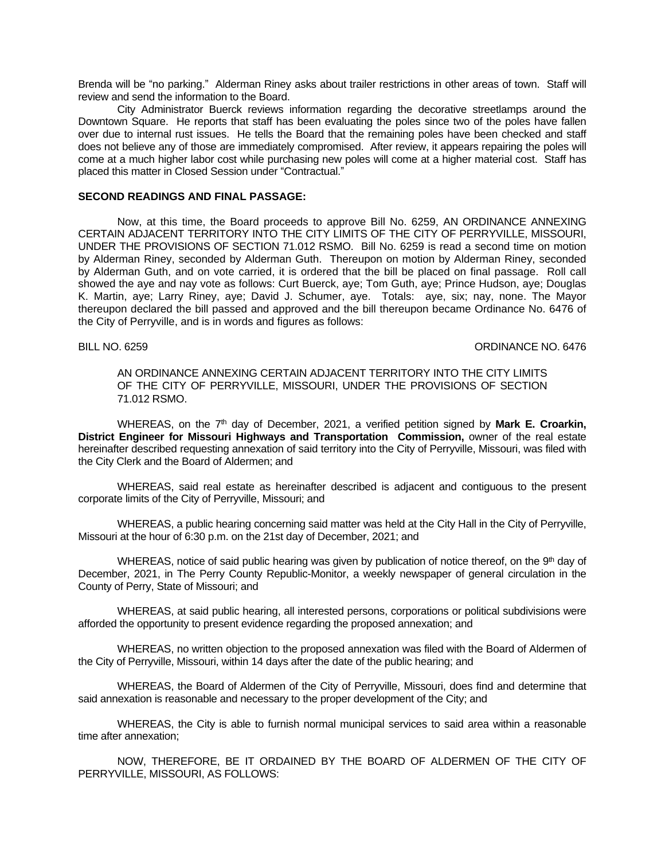Brenda will be "no parking." Alderman Riney asks about trailer restrictions in other areas of town. Staff will review and send the information to the Board.

City Administrator Buerck reviews information regarding the decorative streetlamps around the Downtown Square. He reports that staff has been evaluating the poles since two of the poles have fallen over due to internal rust issues. He tells the Board that the remaining poles have been checked and staff does not believe any of those are immediately compromised. After review, it appears repairing the poles will come at a much higher labor cost while purchasing new poles will come at a higher material cost. Staff has placed this matter in Closed Session under "Contractual."

# **SECOND READINGS AND FINAL PASSAGE:**

Now, at this time, the Board proceeds to approve Bill No. 6259, AN ORDINANCE ANNEXING CERTAIN ADJACENT TERRITORY INTO THE CITY LIMITS OF THE CITY OF PERRYVILLE, MISSOURI, UNDER THE PROVISIONS OF SECTION 71.012 RSMO. Bill No. 6259 is read a second time on motion by Alderman Riney, seconded by Alderman Guth. Thereupon on motion by Alderman Riney, seconded by Alderman Guth, and on vote carried, it is ordered that the bill be placed on final passage. Roll call showed the aye and nay vote as follows: Curt Buerck, aye; Tom Guth, aye; Prince Hudson, aye; Douglas K. Martin, aye; Larry Riney, aye; David J. Schumer, aye. Totals: aye, six; nay, none. The Mayor thereupon declared the bill passed and approved and the bill thereupon became Ordinance No. 6476 of the City of Perryville, and is in words and figures as follows:

BILL NO. 6259 CROWN CONSULTED A SALE OF STRAIGHT AND STRAIGHT AND STRAIGHT AND STRAIGHT AND STRAIGHT AND STRAIGHT AND STRAIGHT AND STRAIGHT AND STRAIGHT AND STRAIGHT AND STRAIGHT AND STRAIGHT AND STRAIGHT AND STRAIGHT AND

AN ORDINANCE ANNEXING CERTAIN ADJACENT TERRITORY INTO THE CITY LIMITS OF THE CITY OF PERRYVILLE, MISSOURI, UNDER THE PROVISIONS OF SECTION 71.012 RSMO.

WHEREAS, on the 7<sup>th</sup> day of December, 2021, a verified petition signed by Mark E. Croarkin, **District Engineer for Missouri Highways and Transportation Commission,** owner of the real estate hereinafter described requesting annexation of said territory into the City of Perryville, Missouri, was filed with the City Clerk and the Board of Aldermen; and

WHEREAS, said real estate as hereinafter described is adjacent and contiguous to the present corporate limits of the City of Perryville, Missouri; and

WHEREAS, a public hearing concerning said matter was held at the City Hall in the City of Perryville, Missouri at the hour of 6:30 p.m. on the 21st day of December, 2021; and

WHEREAS, notice of said public hearing was given by publication of notice thereof, on the 9<sup>th</sup> day of December, 2021, in The Perry County Republic-Monitor, a weekly newspaper of general circulation in the County of Perry, State of Missouri; and

WHEREAS, at said public hearing, all interested persons, corporations or political subdivisions were afforded the opportunity to present evidence regarding the proposed annexation; and

WHEREAS, no written objection to the proposed annexation was filed with the Board of Aldermen of the City of Perryville, Missouri, within 14 days after the date of the public hearing; and

WHEREAS, the Board of Aldermen of the City of Perryville, Missouri, does find and determine that said annexation is reasonable and necessary to the proper development of the City; and

WHEREAS, the City is able to furnish normal municipal services to said area within a reasonable time after annexation;

NOW, THEREFORE, BE IT ORDAINED BY THE BOARD OF ALDERMEN OF THE CITY OF PERRYVILLE, MISSOURI, AS FOLLOWS: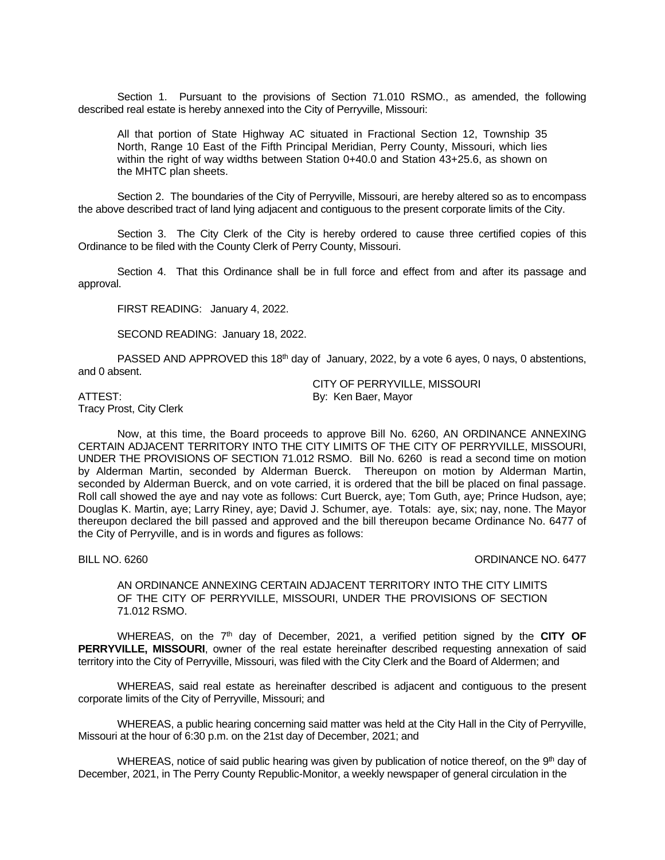Section 1. Pursuant to the provisions of Section 71.010 RSMO., as amended, the following described real estate is hereby annexed into the City of Perryville, Missouri:

All that portion of State Highway AC situated in Fractional Section 12, Township 35 North, Range 10 East of the Fifth Principal Meridian, Perry County, Missouri, which lies within the right of way widths between Station 0+40.0 and Station 43+25.6, as shown on the MHTC plan sheets.

Section 2. The boundaries of the City of Perryville, Missouri, are hereby altered so as to encompass the above described tract of land lying adjacent and contiguous to the present corporate limits of the City.

Section 3. The City Clerk of the City is hereby ordered to cause three certified copies of this Ordinance to be filed with the County Clerk of Perry County, Missouri.

Section 4. That this Ordinance shall be in full force and effect from and after its passage and approval.

FIRST READING: January 4, 2022.

SECOND READING: January 18, 2022.

PASSED AND APPROVED this 18<sup>th</sup> day of January, 2022, by a vote 6 ayes, 0 nays, 0 abstentions, and 0 absent.

CITY OF PERRYVILLE, MISSOURI ATTEST: By: Ken Baer, Mayor

Tracy Prost, City Clerk

Now, at this time, the Board proceeds to approve Bill No. 6260, AN ORDINANCE ANNEXING CERTAIN ADJACENT TERRITORY INTO THE CITY LIMITS OF THE CITY OF PERRYVILLE, MISSOURI, UNDER THE PROVISIONS OF SECTION 71.012 RSMO. Bill No. 6260 is read a second time on motion by Alderman Martin, seconded by Alderman Buerck. Thereupon on motion by Alderman Martin, seconded by Alderman Buerck, and on vote carried, it is ordered that the bill be placed on final passage. Roll call showed the aye and nay vote as follows: Curt Buerck, aye; Tom Guth, aye; Prince Hudson, aye; Douglas K. Martin, aye; Larry Riney, aye; David J. Schumer, aye. Totals: aye, six; nay, none. The Mayor thereupon declared the bill passed and approved and the bill thereupon became Ordinance No. 6477 of the City of Perryville, and is in words and figures as follows:

### BILL NO. 6260 **ORDINANCE NO. 6477**

AN ORDINANCE ANNEXING CERTAIN ADJACENT TERRITORY INTO THE CITY LIMITS OF THE CITY OF PERRYVILLE, MISSOURI, UNDER THE PROVISIONS OF SECTION 71.012 RSMO.

WHEREAS, on the 7<sup>th</sup> day of December, 2021, a verified petition signed by the CITY OF **PERRYVILLE, MISSOURI**, owner of the real estate hereinafter described requesting annexation of said territory into the City of Perryville, Missouri, was filed with the City Clerk and the Board of Aldermen; and

WHEREAS, said real estate as hereinafter described is adjacent and contiguous to the present corporate limits of the City of Perryville, Missouri; and

WHEREAS, a public hearing concerning said matter was held at the City Hall in the City of Perryville, Missouri at the hour of 6:30 p.m. on the 21st day of December, 2021; and

WHEREAS, notice of said public hearing was given by publication of notice thereof, on the  $9<sup>th</sup>$  day of December, 2021, in The Perry County Republic-Monitor, a weekly newspaper of general circulation in the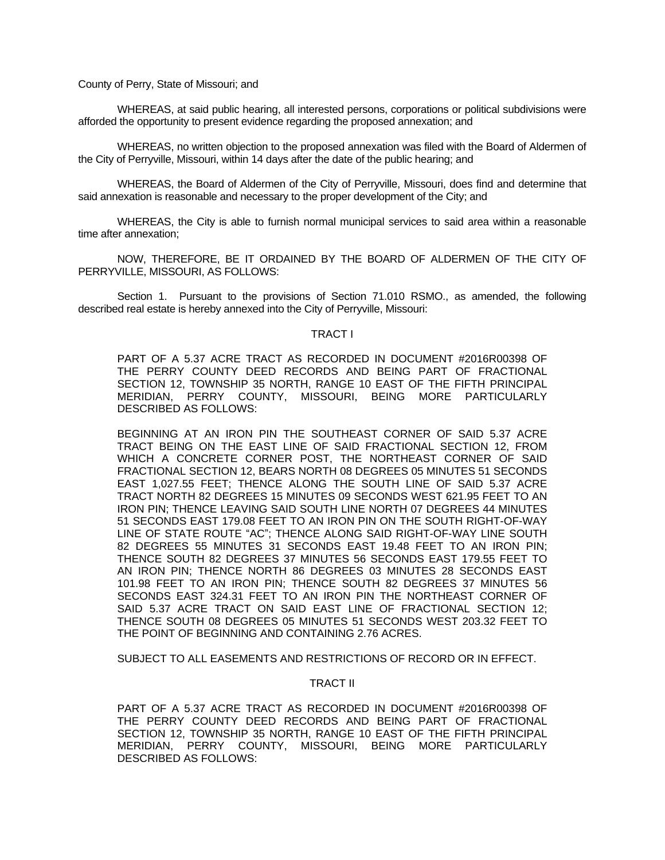County of Perry, State of Missouri; and

WHEREAS, at said public hearing, all interested persons, corporations or political subdivisions were afforded the opportunity to present evidence regarding the proposed annexation; and

WHEREAS, no written objection to the proposed annexation was filed with the Board of Aldermen of the City of Perryville, Missouri, within 14 days after the date of the public hearing; and

WHEREAS, the Board of Aldermen of the City of Perryville, Missouri, does find and determine that said annexation is reasonable and necessary to the proper development of the City; and

WHEREAS, the City is able to furnish normal municipal services to said area within a reasonable time after annexation;

NOW, THEREFORE, BE IT ORDAINED BY THE BOARD OF ALDERMEN OF THE CITY OF PERRYVILLE, MISSOURI, AS FOLLOWS:

Section 1. Pursuant to the provisions of Section 71.010 RSMO., as amended, the following described real estate is hereby annexed into the City of Perryville, Missouri:

## TRACT I

PART OF A 5.37 ACRE TRACT AS RECORDED IN DOCUMENT #2016R00398 OF THE PERRY COUNTY DEED RECORDS AND BEING PART OF FRACTIONAL SECTION 12, TOWNSHIP 35 NORTH, RANGE 10 EAST OF THE FIFTH PRINCIPAL MERIDIAN, PERRY COUNTY, MISSOURI, BEING MORE PARTICULARLY DESCRIBED AS FOLLOWS:

BEGINNING AT AN IRON PIN THE SOUTHEAST CORNER OF SAID 5.37 ACRE TRACT BEING ON THE EAST LINE OF SAID FRACTIONAL SECTION 12, FROM WHICH A CONCRETE CORNER POST, THE NORTHEAST CORNER OF SAID FRACTIONAL SECTION 12, BEARS NORTH 08 DEGREES 05 MINUTES 51 SECONDS EAST 1,027.55 FEET; THENCE ALONG THE SOUTH LINE OF SAID 5.37 ACRE TRACT NORTH 82 DEGREES 15 MINUTES 09 SECONDS WEST 621.95 FEET TO AN IRON PIN; THENCE LEAVING SAID SOUTH LINE NORTH 07 DEGREES 44 MINUTES 51 SECONDS EAST 179.08 FEET TO AN IRON PIN ON THE SOUTH RIGHT-OF-WAY LINE OF STATE ROUTE "AC"; THENCE ALONG SAID RIGHT-OF-WAY LINE SOUTH 82 DEGREES 55 MINUTES 31 SECONDS EAST 19.48 FEET TO AN IRON PIN; THENCE SOUTH 82 DEGREES 37 MINUTES 56 SECONDS EAST 179.55 FEET TO AN IRON PIN; THENCE NORTH 86 DEGREES 03 MINUTES 28 SECONDS EAST 101.98 FEET TO AN IRON PIN; THENCE SOUTH 82 DEGREES 37 MINUTES 56 SECONDS EAST 324.31 FEET TO AN IRON PIN THE NORTHEAST CORNER OF SAID 5.37 ACRE TRACT ON SAID EAST LINE OF FRACTIONAL SECTION 12; THENCE SOUTH 08 DEGREES 05 MINUTES 51 SECONDS WEST 203.32 FEET TO THE POINT OF BEGINNING AND CONTAINING 2.76 ACRES.

SUBJECT TO ALL EASEMENTS AND RESTRICTIONS OF RECORD OR IN EFFECT.

# TRACT II

PART OF A 5.37 ACRE TRACT AS RECORDED IN DOCUMENT #2016R00398 OF THE PERRY COUNTY DEED RECORDS AND BEING PART OF FRACTIONAL SECTION 12, TOWNSHIP 35 NORTH, RANGE 10 EAST OF THE FIFTH PRINCIPAL MERIDIAN, PERRY COUNTY, MISSOURI, BEING MORE PARTICULARLY DESCRIBED AS FOLLOWS: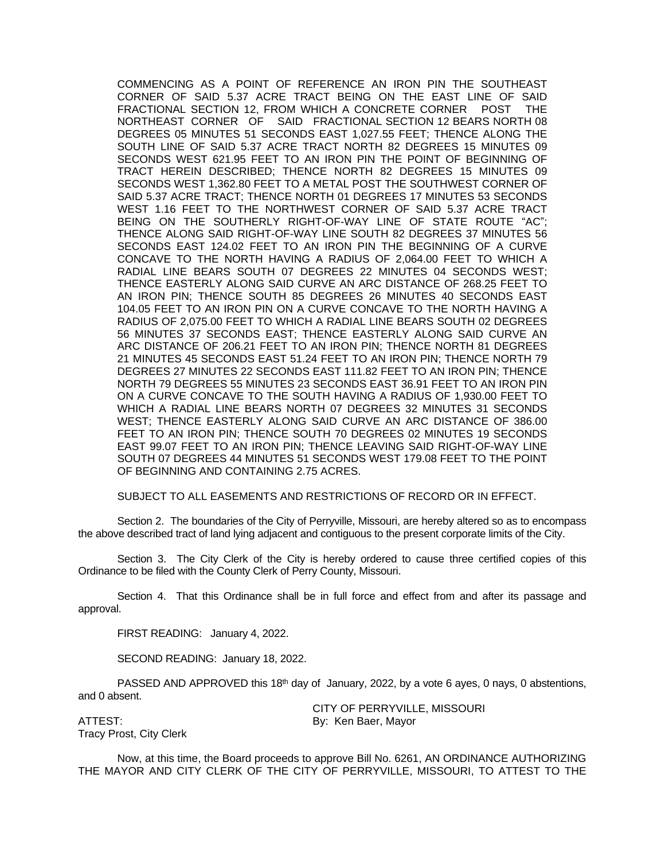COMMENCING AS A POINT OF REFERENCE AN IRON PIN THE SOUTHEAST CORNER OF SAID 5.37 ACRE TRACT BEING ON THE EAST LINE OF SAID FRACTIONAL SECTION 12, FROM WHICH A CONCRETE CORNER POST THE NORTHEAST CORNER OF SAID FRACTIONAL SECTION 12 BEARS NORTH 08 DEGREES 05 MINUTES 51 SECONDS EAST 1,027.55 FEET; THENCE ALONG THE SOUTH LINE OF SAID 5.37 ACRE TRACT NORTH 82 DEGREES 15 MINUTES 09 SECONDS WEST 621.95 FEET TO AN IRON PIN THE POINT OF BEGINNING OF TRACT HEREIN DESCRIBED; THENCE NORTH 82 DEGREES 15 MINUTES 09 SECONDS WEST 1,362.80 FEET TO A METAL POST THE SOUTHWEST CORNER OF SAID 5.37 ACRE TRACT; THENCE NORTH 01 DEGREES 17 MINUTES 53 SECONDS WEST 1.16 FEET TO THE NORTHWEST CORNER OF SAID 5.37 ACRE TRACT BEING ON THE SOUTHERLY RIGHT-OF-WAY LINE OF STATE ROUTE "AC"; THENCE ALONG SAID RIGHT-OF-WAY LINE SOUTH 82 DEGREES 37 MINUTES 56 SECONDS EAST 124.02 FEET TO AN IRON PIN THE BEGINNING OF A CURVE CONCAVE TO THE NORTH HAVING A RADIUS OF 2,064.00 FEET TO WHICH A RADIAL LINE BEARS SOUTH 07 DEGREES 22 MINUTES 04 SECONDS WEST; THENCE EASTERLY ALONG SAID CURVE AN ARC DISTANCE OF 268.25 FEET TO AN IRON PIN; THENCE SOUTH 85 DEGREES 26 MINUTES 40 SECONDS EAST 104.05 FEET TO AN IRON PIN ON A CURVE CONCAVE TO THE NORTH HAVING A RADIUS OF 2,075.00 FEET TO WHICH A RADIAL LINE BEARS SOUTH 02 DEGREES 56 MINUTES 37 SECONDS EAST; THENCE EASTERLY ALONG SAID CURVE AN ARC DISTANCE OF 206.21 FEET TO AN IRON PIN; THENCE NORTH 81 DEGREES 21 MINUTES 45 SECONDS EAST 51.24 FEET TO AN IRON PIN; THENCE NORTH 79 DEGREES 27 MINUTES 22 SECONDS EAST 111.82 FEET TO AN IRON PIN; THENCE NORTH 79 DEGREES 55 MINUTES 23 SECONDS EAST 36.91 FEET TO AN IRON PIN ON A CURVE CONCAVE TO THE SOUTH HAVING A RADIUS OF 1,930.00 FEET TO WHICH A RADIAL LINE BEARS NORTH 07 DEGREES 32 MINUTES 31 SECONDS WEST; THENCE EASTERLY ALONG SAID CURVE AN ARC DISTANCE OF 386.00 FEET TO AN IRON PIN; THENCE SOUTH 70 DEGREES 02 MINUTES 19 SECONDS EAST 99.07 FEET TO AN IRON PIN; THENCE LEAVING SAID RIGHT-OF-WAY LINE SOUTH 07 DEGREES 44 MINUTES 51 SECONDS WEST 179.08 FEET TO THE POINT OF BEGINNING AND CONTAINING 2.75 ACRES.

SUBJECT TO ALL EASEMENTS AND RESTRICTIONS OF RECORD OR IN EFFECT.

Section 2. The boundaries of the City of Perryville, Missouri, are hereby altered so as to encompass the above described tract of land lying adjacent and contiguous to the present corporate limits of the City.

Section 3. The City Clerk of the City is hereby ordered to cause three certified copies of this Ordinance to be filed with the County Clerk of Perry County, Missouri.

Section 4. That this Ordinance shall be in full force and effect from and after its passage and approval.

FIRST READING: January 4, 2022.

SECOND READING: January 18, 2022.

PASSED AND APPROVED this 18<sup>th</sup> day of January, 2022, by a vote 6 ayes, 0 nays, 0 abstentions, and 0 absent.

CITY OF PERRYVILLE, MISSOURI ATTEST: By: Ken Baer, Mayor

Tracy Prost, City Clerk

Now, at this time, the Board proceeds to approve Bill No. 6261, AN ORDINANCE AUTHORIZING THE MAYOR AND CITY CLERK OF THE CITY OF PERRYVILLE, MISSOURI, TO ATTEST TO THE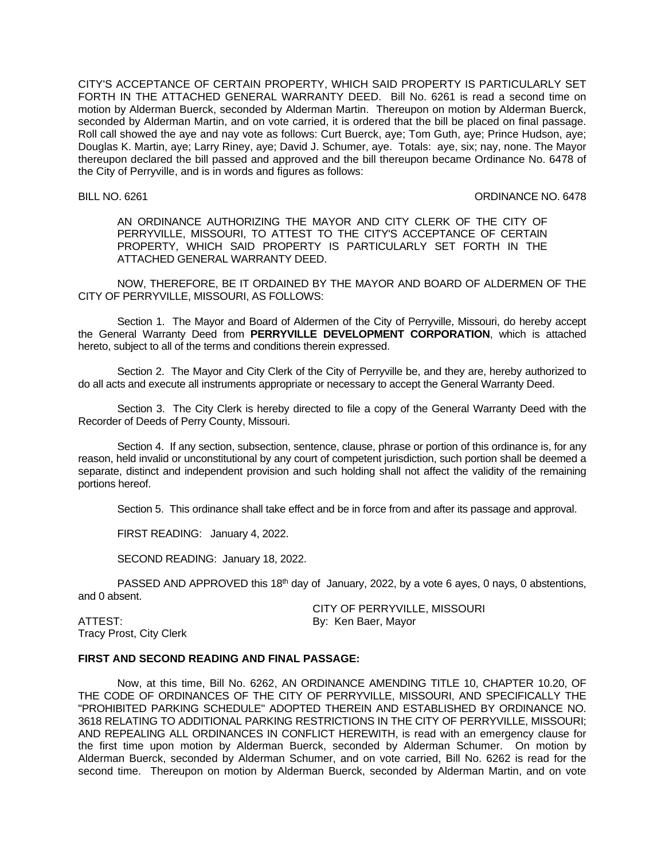CITY'S ACCEPTANCE OF CERTAIN PROPERTY, WHICH SAID PROPERTY IS PARTICULARLY SET FORTH IN THE ATTACHED GENERAL WARRANTY DEED. Bill No. 6261 is read a second time on motion by Alderman Buerck, seconded by Alderman Martin. Thereupon on motion by Alderman Buerck, seconded by Alderman Martin, and on vote carried, it is ordered that the bill be placed on final passage. Roll call showed the aye and nay vote as follows: Curt Buerck, aye; Tom Guth, aye; Prince Hudson, aye; Douglas K. Martin, aye; Larry Riney, aye; David J. Schumer, aye. Totals: aye, six; nay, none. The Mayor thereupon declared the bill passed and approved and the bill thereupon became Ordinance No. 6478 of the City of Perryville, and is in words and figures as follows:

BILL NO. 6261 CHEEF CONSULTERING CONDINANCE NO. 6478

AN ORDINANCE AUTHORIZING THE MAYOR AND CITY CLERK OF THE CITY OF PERRYVILLE, MISSOURI, TO ATTEST TO THE CITY'S ACCEPTANCE OF CERTAIN PROPERTY, WHICH SAID PROPERTY IS PARTICULARLY SET FORTH IN THE ATTACHED GENERAL WARRANTY DEED.

NOW, THEREFORE, BE IT ORDAINED BY THE MAYOR AND BOARD OF ALDERMEN OF THE CITY OF PERRYVILLE, MISSOURI, AS FOLLOWS:

Section 1. The Mayor and Board of Aldermen of the City of Perryville, Missouri, do hereby accept the General Warranty Deed from **PERRYVILLE DEVELOPMENT CORPORATION**, which is attached hereto, subject to all of the terms and conditions therein expressed.

Section 2. The Mayor and City Clerk of the City of Perryville be, and they are, hereby authorized to do all acts and execute all instruments appropriate or necessary to accept the General Warranty Deed.

Section 3. The City Clerk is hereby directed to file a copy of the General Warranty Deed with the Recorder of Deeds of Perry County, Missouri.

Section 4. If any section, subsection, sentence, clause, phrase or portion of this ordinance is, for any reason, held invalid or unconstitutional by any court of competent jurisdiction, such portion shall be deemed a separate, distinct and independent provision and such holding shall not affect the validity of the remaining portions hereof.

Section 5. This ordinance shall take effect and be in force from and after its passage and approval.

FIRST READING: January 4, 2022.

SECOND READING: January 18, 2022.

PASSED AND APPROVED this 18<sup>th</sup> day of January, 2022, by a vote 6 ayes, 0 nays, 0 abstentions, and 0 absent.

ATTEST: By: Ken Baer, Mayor Tracy Prost, City Clerk

CITY OF PERRYVILLE, MISSOURI

# **FIRST AND SECOND READING AND FINAL PASSAGE:**

Now, at this time, Bill No. 6262, AN ORDINANCE AMENDING TITLE 10, CHAPTER 10.20, OF THE CODE OF ORDINANCES OF THE CITY OF PERRYVILLE, MISSOURI, AND SPECIFICALLY THE "PROHIBITED PARKING SCHEDULE" ADOPTED THEREIN AND ESTABLISHED BY ORDINANCE NO. 3618 RELATING TO ADDITIONAL PARKING RESTRICTIONS IN THE CITY OF PERRYVILLE, MISSOURI; AND REPEALING ALL ORDINANCES IN CONFLICT HEREWITH, is read with an emergency clause for the first time upon motion by Alderman Buerck, seconded by Alderman Schumer. On motion by Alderman Buerck, seconded by Alderman Schumer, and on vote carried, Bill No. 6262 is read for the second time. Thereupon on motion by Alderman Buerck, seconded by Alderman Martin, and on vote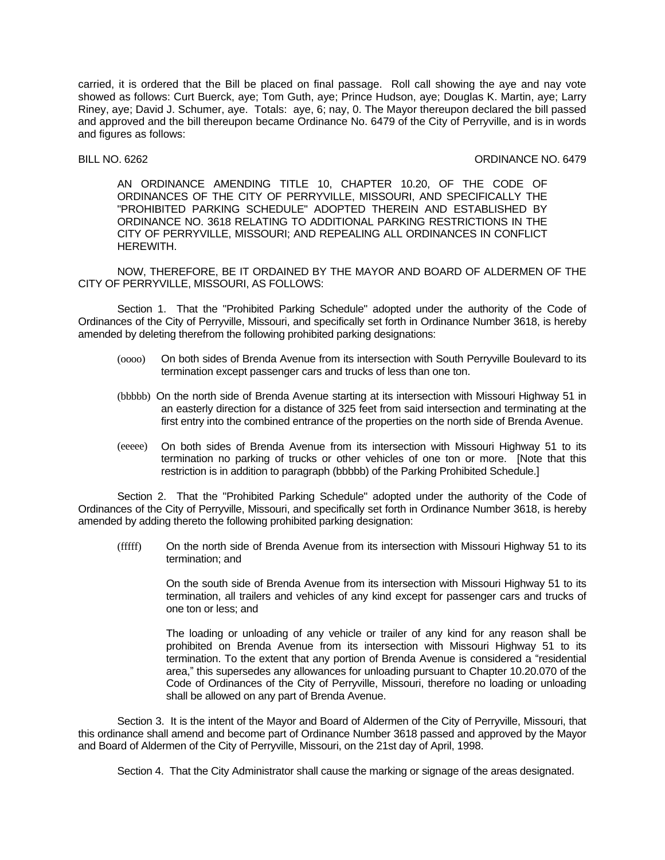carried, it is ordered that the Bill be placed on final passage. Roll call showing the aye and nay vote showed as follows: Curt Buerck, aye; Tom Guth, aye; Prince Hudson, aye; Douglas K. Martin, aye; Larry Riney, aye; David J. Schumer, aye. Totals: aye, 6; nay, 0. The Mayor thereupon declared the bill passed and approved and the bill thereupon became Ordinance No. 6479 of the City of Perryville, and is in words and figures as follows:

BILL NO. 6262 CRIMANCE NO. 6479

AN ORDINANCE AMENDING TITLE 10, CHAPTER 10.20, OF THE CODE OF ORDINANCES OF THE CITY OF PERRYVILLE, MISSOURI, AND SPECIFICALLY THE "PROHIBITED PARKING SCHEDULE" ADOPTED THEREIN AND ESTABLISHED BY ORDINANCE NO. 3618 RELATING TO ADDITIONAL PARKING RESTRICTIONS IN THE CITY OF PERRYVILLE, MISSOURI; AND REPEALING ALL ORDINANCES IN CONFLICT HEREWITH.

NOW, THEREFORE, BE IT ORDAINED BY THE MAYOR AND BOARD OF ALDERMEN OF THE CITY OF PERRYVILLE, MISSOURI, AS FOLLOWS:

Section 1. That the "Prohibited Parking Schedule" adopted under the authority of the Code of Ordinances of the City of Perryville, Missouri, and specifically set forth in Ordinance Number 3618, is hereby amended by deleting therefrom the following prohibited parking designations:

- (oooo) On both sides of Brenda Avenue from its intersection with South Perryville Boulevard to its termination except passenger cars and trucks of less than one ton.
- (bbbbb) On the north side of Brenda Avenue starting at its intersection with Missouri Highway 51 in an easterly direction for a distance of 325 feet from said intersection and terminating at the first entry into the combined entrance of the properties on the north side of Brenda Avenue.
- (eeeee) On both sides of Brenda Avenue from its intersection with Missouri Highway 51 to its termination no parking of trucks or other vehicles of one ton or more. [Note that this restriction is in addition to paragraph (bbbbb) of the Parking Prohibited Schedule.]

Section 2. That the "Prohibited Parking Schedule" adopted under the authority of the Code of Ordinances of the City of Perryville, Missouri, and specifically set forth in Ordinance Number 3618, is hereby amended by adding thereto the following prohibited parking designation:

(fffff) On the north side of Brenda Avenue from its intersection with Missouri Highway 51 to its termination; and

> On the south side of Brenda Avenue from its intersection with Missouri Highway 51 to its termination, all trailers and vehicles of any kind except for passenger cars and trucks of one ton or less; and

> The loading or unloading of any vehicle or trailer of any kind for any reason shall be prohibited on Brenda Avenue from its intersection with Missouri Highway 51 to its termination. To the extent that any portion of Brenda Avenue is considered a "residential area," this supersedes any allowances for unloading pursuant to Chapter 10.20.070 of the Code of Ordinances of the City of Perryville, Missouri, therefore no loading or unloading shall be allowed on any part of Brenda Avenue.

Section 3. It is the intent of the Mayor and Board of Aldermen of the City of Perryville, Missouri, that this ordinance shall amend and become part of Ordinance Number 3618 passed and approved by the Mayor and Board of Aldermen of the City of Perryville, Missouri, on the 21st day of April, 1998.

Section 4. That the City Administrator shall cause the marking or signage of the areas designated.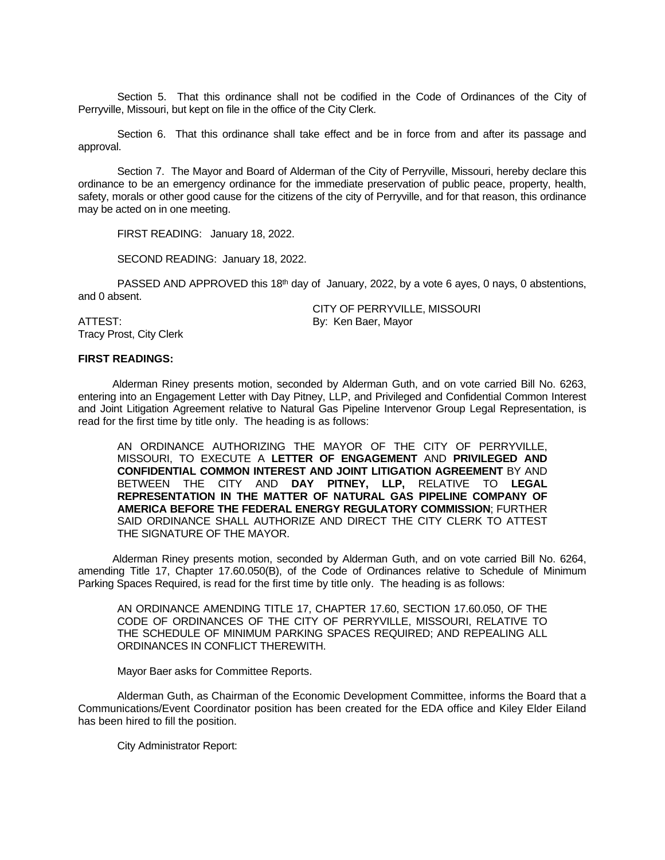Section 5. That this ordinance shall not be codified in the Code of Ordinances of the City of Perryville, Missouri, but kept on file in the office of the City Clerk.

Section 6. That this ordinance shall take effect and be in force from and after its passage and approval.

Section 7. The Mayor and Board of Alderman of the City of Perryville, Missouri, hereby declare this ordinance to be an emergency ordinance for the immediate preservation of public peace, property, health, safety, morals or other good cause for the citizens of the city of Perryville, and for that reason, this ordinance may be acted on in one meeting.

FIRST READING: January 18, 2022.

SECOND READING: January 18, 2022.

PASSED AND APPROVED this 18<sup>th</sup> day of January, 2022, by a vote 6 ayes, 0 nays, 0 abstentions, and 0 absent.

CITY OF PERRYVILLE, MISSOURI

ATTEST: By: Ken Baer, Mayor Tracy Prost, City Clerk

# **FIRST READINGS:**

Alderman Riney presents motion, seconded by Alderman Guth, and on vote carried Bill No. 6263, entering into an Engagement Letter with Day Pitney, LLP, and Privileged and Confidential Common Interest and Joint Litigation Agreement relative to Natural Gas Pipeline Intervenor Group Legal Representation, is read for the first time by title only. The heading is as follows:

AN ORDINANCE AUTHORIZING THE MAYOR OF THE CITY OF PERRYVILLE, MISSOURI, TO EXECUTE A **LETTER OF ENGAGEMENT** AND **PRIVILEGED AND CONFIDENTIAL COMMON INTEREST AND JOINT LITIGATION AGREEMENT** BY AND BETWEEN THE CITY AND **DAY PITNEY, LLP,** RELATIVE TO **LEGAL REPRESENTATION IN THE MATTER OF NATURAL GAS PIPELINE COMPANY OF AMERICA BEFORE THE FEDERAL ENERGY REGULATORY COMMISSION**; FURTHER SAID ORDINANCE SHALL AUTHORIZE AND DIRECT THE CITY CLERK TO ATTEST THE SIGNATURE OF THE MAYOR.

Alderman Riney presents motion, seconded by Alderman Guth, and on vote carried Bill No. 6264, amending Title 17, Chapter 17.60.050(B), of the Code of Ordinances relative to Schedule of Minimum Parking Spaces Required, is read for the first time by title only. The heading is as follows:

AN ORDINANCE AMENDING TITLE 17, CHAPTER 17.60, SECTION 17.60.050, OF THE CODE OF ORDINANCES OF THE CITY OF PERRYVILLE, MISSOURI, RELATIVE TO THE SCHEDULE OF MINIMUM PARKING SPACES REQUIRED; AND REPEALING ALL ORDINANCES IN CONFLICT THEREWITH.

Mayor Baer asks for Committee Reports.

Alderman Guth, as Chairman of the Economic Development Committee, informs the Board that a Communications/Event Coordinator position has been created for the EDA office and Kiley Elder Eiland has been hired to fill the position.

City Administrator Report: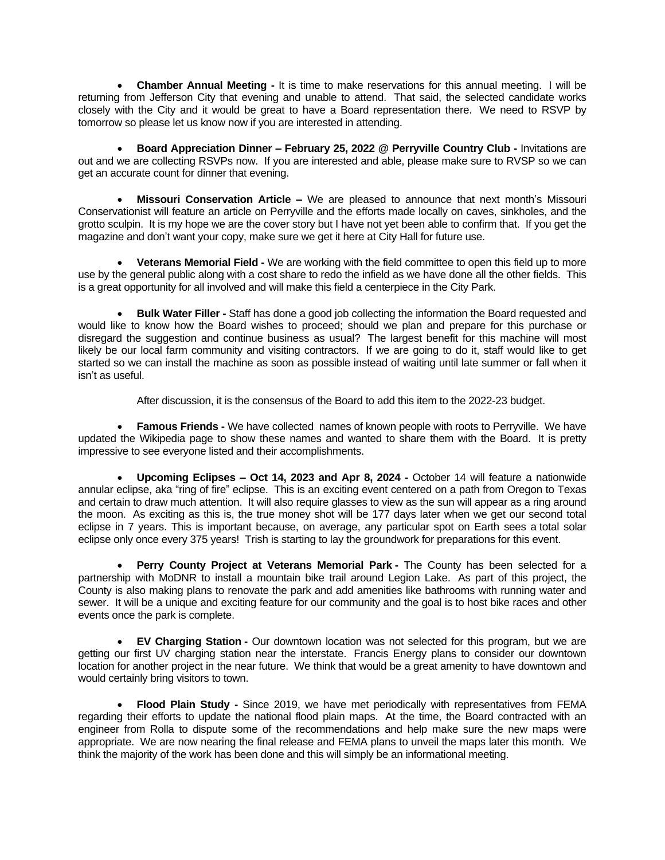**Chamber Annual Meeting -** It is time to make reservations for this annual meeting. I will be returning from Jefferson City that evening and unable to attend. That said, the selected candidate works closely with the City and it would be great to have a Board representation there. We need to RSVP by tomorrow so please let us know now if you are interested in attending.

 **Board Appreciation Dinner – February 25, 2022 @ Perryville Country Club -** Invitations are out and we are collecting RSVPs now. If you are interested and able, please make sure to RVSP so we can get an accurate count for dinner that evening.

 **Missouri Conservation Article –** We are pleased to announce that next month's Missouri Conservationist will feature an article on Perryville and the efforts made locally on caves, sinkholes, and the grotto sculpin. It is my hope we are the cover story but I have not yet been able to confirm that. If you get the magazine and don't want your copy, make sure we get it here at City Hall for future use.

 **Veterans Memorial Field -** We are working with the field committee to open this field up to more use by the general public along with a cost share to redo the infield as we have done all the other fields. This is a great opportunity for all involved and will make this field a centerpiece in the City Park.

 **Bulk Water Filler -** Staff has done a good job collecting the information the Board requested and would like to know how the Board wishes to proceed; should we plan and prepare for this purchase or disregard the suggestion and continue business as usual? The largest benefit for this machine will most likely be our local farm community and visiting contractors. If we are going to do it, staff would like to get started so we can install the machine as soon as possible instead of waiting until late summer or fall when it isn't as useful.

After discussion, it is the consensus of the Board to add this item to the 2022-23 budget.

 **Famous Friends -** We have collected names of known people with roots to Perryville. We have updated the Wikipedia page to show these names and wanted to share them with the Board. It is pretty impressive to see everyone listed and their accomplishments.

 **Upcoming Eclipses – Oct 14, 2023 and Apr 8, 2024 -** October 14 will feature a nationwide annular eclipse, aka "ring of fire" eclipse. This is an exciting event centered on a path from Oregon to Texas and certain to draw much attention. It will also require glasses to view as the sun will appear as a ring around the moon. As exciting as this is, the true money shot will be 177 days later when we get our second total eclipse in 7 years. This is important because, on average, any particular spot on Earth sees a total [solar](https://travelquesttours.com/total-solar-eclipse-travel/) eclipse only once every 375 years! Trish is starting to lay the groundwork for preparations for this event.

 **Perry County Project at Veterans Memorial Park -** The County has been selected for a partnership with MoDNR to install a mountain bike trail around Legion Lake. As part of this project, the County is also making plans to renovate the park and add amenities like bathrooms with running water and sewer. It will be a unique and exciting feature for our community and the goal is to host bike races and other events once the park is complete.

 **EV Charging Station -** Our downtown location was not selected for this program, but we are getting our first UV charging station near the interstate. Francis Energy plans to consider our downtown location for another project in the near future. We think that would be a great amenity to have downtown and would certainly bring visitors to town.

 **Flood Plain Study -** Since 2019, we have met periodically with representatives from FEMA regarding their efforts to update the national flood plain maps. At the time, the Board contracted with an engineer from Rolla to dispute some of the recommendations and help make sure the new maps were appropriate. We are now nearing the final release and FEMA plans to unveil the maps later this month. We think the majority of the work has been done and this will simply be an informational meeting.